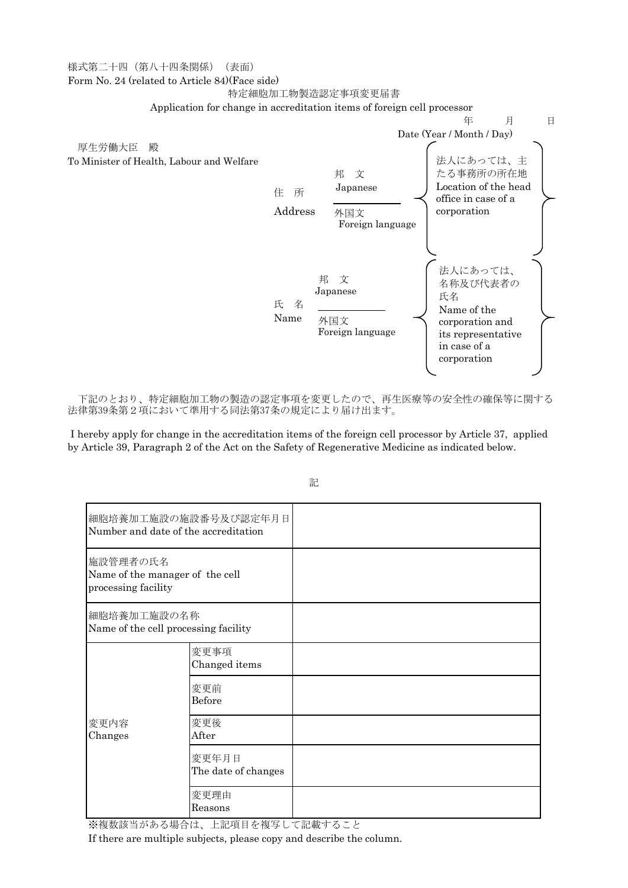## 様式第二十四(第八十四条関係) (表面)

Form No. 24 (related to Article 84)(Face side)

## 特定細胞加工物製造認定事項変更届書



下記のとおり、特定細胞加工物の製造の認定事項を変更したので、再生医療等の安全性の確保等に関する 法律第39条第2項において準用する同法第37条の規定により届け出ます。

I hereby apply for change in the accreditation items of the foreign cell processor by Article 37, applied by Article 39, Paragraph 2 of the Act on the Safety of Regenerative Medicine as indicated below.

| 細胞培養加工施設の施設番号及び認定年月日<br>Number and date of the accreditation       |                              |  |
|--------------------------------------------------------------------|------------------------------|--|
| 施設管理者の氏名<br>Name of the manager of the cell<br>processing facility |                              |  |
| 細胞培養加工施設の名称<br>Name of the cell processing facility                |                              |  |
| 変更内容<br>Changes                                                    | 変更事項<br>Changed items        |  |
|                                                                    | 変更前<br>Before                |  |
|                                                                    | 変更後<br>After                 |  |
|                                                                    | 変更年月日<br>The date of changes |  |
|                                                                    | 変更理由<br>Reasons              |  |

記

※複数該当がある場合は、上記項目を複写して記載すること

If there are multiple subjects, please copy and describe the column.